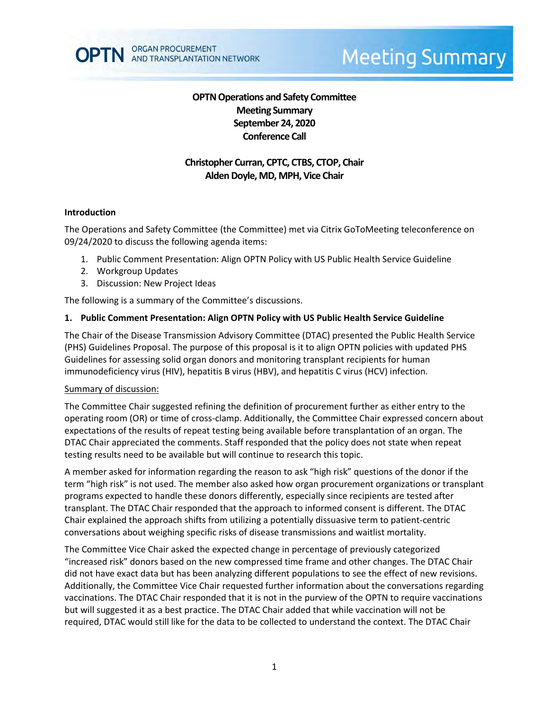

# **Meeting Summary**

# **OPTN Operations and Safety Committee Meeting Summary September 24, 2020 Conference Call**

# **Christopher Curran, CPTC, CTBS, CTOP, Chair Alden Doyle, MD, MPH, Vice Chair**

#### **Introduction**

The Operations and Safety Committee (the Committee) met via Citrix GoToMeeting teleconference on 09/24/2020 to discuss the following agenda items:

- 1. Public Comment Presentation: Align OPTN Policy with US Public Health Service Guideline
- 2. Workgroup Updates
- 3. Discussion: New Project Ideas

The following is a summary of the Committee's discussions.

## **1. Public Comment Presentation: Align OPTN Policy with US Public Health Service Guideline**

The Chair of the Disease Transmission Advisory Committee (DTAC) presented the Public Health Service (PHS) Guidelines Proposal. The purpose of this proposal is it to align OPTN policies with updated PHS Guidelines for assessing solid organ donors and monitoring transplant recipients for human immunodeficiency virus (HIV), hepatitis B virus (HBV), and hepatitis C virus (HCV) infection.

## Summary of discussion:

The Committee Chair suggested refining the definition of procurement further as either entry to the operating room (OR) or time of cross-clamp. Additionally, the Committee Chair expressed concern about expectations of the results of repeat testing being available before transplantation of an organ. The DTAC Chair appreciated the comments. Staff responded that the policy does not state when repeat testing results need to be available but will continue to research this topic.

A member asked for information regarding the reason to ask "high risk" questions of the donor if the term "high risk" is not used. The member also asked how organ procurement organizations or transplant programs expected to handle these donors differently, especially since recipients are tested after transplant. The DTAC Chair responded that the approach to informed consent is different. The DTAC Chair explained the approach shifts from utilizing a potentially dissuasive term to patient-centric conversations about weighing specific risks of disease transmissions and waitlist mortality.

The Committee Vice Chair asked the expected change in percentage of previously categorized "increased risk" donors based on the new compressed time frame and other changes. The DTAC Chair did not have exact data but has been analyzing different populations to see the effect of new revisions. Additionally, the Committee Vice Chair requested further information about the conversations regarding vaccinations. The DTAC Chair responded that it is not in the purview of the OPTN to require vaccinations but will suggested it as a best practice. The DTAC Chair added that while vaccination will not be required, DTAC would still like for the data to be collected to understand the context. The DTAC Chair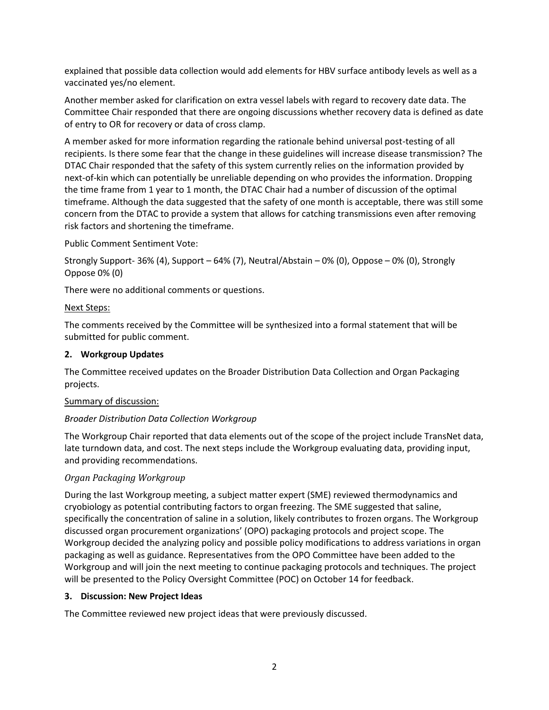explained that possible data collection would add elements for HBV surface antibody levels as well as a vaccinated yes/no element.

Another member asked for clarification on extra vessel labels with regard to recovery date data. The Committee Chair responded that there are ongoing discussions whether recovery data is defined as date of entry to OR for recovery or data of cross clamp.

A member asked for more information regarding the rationale behind universal post-testing of all recipients. Is there some fear that the change in these guidelines will increase disease transmission? The DTAC Chair responded that the safety of this system currently relies on the information provided by next-of-kin which can potentially be unreliable depending on who provides the information. Dropping the time frame from 1 year to 1 month, the DTAC Chair had a number of discussion of the optimal timeframe. Although the data suggested that the safety of one month is acceptable, there was still some concern from the DTAC to provide a system that allows for catching transmissions even after removing risk factors and shortening the timeframe.

Public Comment Sentiment Vote:

Strongly Support- 36% (4), Support – 64% (7), Neutral/Abstain – 0% (0), Oppose – 0% (0), Strongly Oppose 0% (0)

There were no additional comments or questions.

#### Next Steps:

The comments received by the Committee will be synthesized into a formal statement that will be submitted for public comment.

## **2. Workgroup Updates**

The Committee received updates on the Broader Distribution Data Collection and Organ Packaging projects.

## Summary of discussion:

## *Broader Distribution Data Collection Workgroup*

The Workgroup Chair reported that data elements out of the scope of the project include TransNet data, late turndown data, and cost. The next steps include the Workgroup evaluating data, providing input, and providing recommendations.

## *Organ Packaging Workgroup*

During the last Workgroup meeting, a subject matter expert (SME) reviewed thermodynamics and cryobiology as potential contributing factors to organ freezing. The SME suggested that saline, specifically the concentration of saline in a solution, likely contributes to frozen organs. The Workgroup discussed organ procurement organizations' (OPO) packaging protocols and project scope. The Workgroup decided the analyzing policy and possible policy modifications to address variations in organ packaging as well as guidance. Representatives from the OPO Committee have been added to the Workgroup and will join the next meeting to continue packaging protocols and techniques. The project will be presented to the Policy Oversight Committee (POC) on October 14 for feedback.

## **3. Discussion: New Project Ideas**

The Committee reviewed new project ideas that were previously discussed.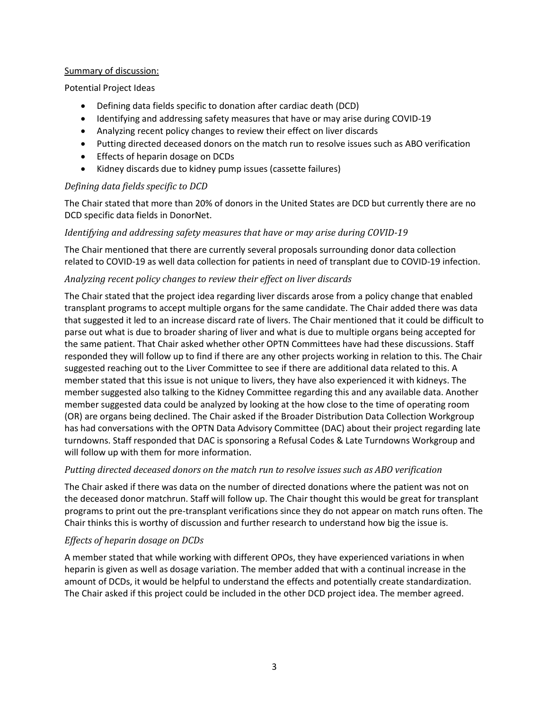## Summary of discussion:

Potential Project Ideas

- Defining data fields specific to donation after cardiac death (DCD)
- Identifying and addressing safety measures that have or may arise during COVID-19
- Analyzing recent policy changes to review their effect on liver discards
- Putting directed deceased donors on the match run to resolve issues such as ABO verification
- **•** Effects of heparin dosage on DCDs
- Kidney discards due to kidney pump issues (cassette failures)

## *Defining data fields specific to DCD*

The Chair stated that more than 20% of donors in the United States are DCD but currently there are no DCD specific data fields in DonorNet.

## *Identifying and addressing safety measures that have or may arise during COVID-19*

The Chair mentioned that there are currently several proposals surrounding donor data collection related to COVID-19 as well data collection for patients in need of transplant due to COVID-19 infection.

## *Analyzing recent policy changes to review their effect on liver discards*

The Chair stated that the project idea regarding liver discards arose from a policy change that enabled transplant programs to accept multiple organs for the same candidate. The Chair added there was data that suggested it led to an increase discard rate of livers. The Chair mentioned that it could be difficult to parse out what is due to broader sharing of liver and what is due to multiple organs being accepted for the same patient. That Chair asked whether other OPTN Committees have had these discussions. Staff responded they will follow up to find if there are any other projects working in relation to this. The Chair suggested reaching out to the Liver Committee to see if there are additional data related to this. A member stated that this issue is not unique to livers, they have also experienced it with kidneys. The member suggested also talking to the Kidney Committee regarding this and any available data. Another member suggested data could be analyzed by looking at the how close to the time of operating room (OR) are organs being declined. The Chair asked if the Broader Distribution Data Collection Workgroup has had conversations with the OPTN Data Advisory Committee (DAC) about their project regarding late turndowns. Staff responded that DAC is sponsoring a Refusal Codes & Late Turndowns Workgroup and will follow up with them for more information.

## *Putting directed deceased donors on the match run to resolve issues such as ABO verification*

The Chair asked if there was data on the number of directed donations where the patient was not on the deceased donor matchrun. Staff will follow up. The Chair thought this would be great for transplant programs to print out the pre-transplant verifications since they do not appear on match runs often. The Chair thinks this is worthy of discussion and further research to understand how big the issue is.

## *Effects of heparin dosage on DCDs*

A member stated that while working with different OPOs, they have experienced variations in when heparin is given as well as dosage variation. The member added that with a continual increase in the amount of DCDs, it would be helpful to understand the effects and potentially create standardization. The Chair asked if this project could be included in the other DCD project idea. The member agreed.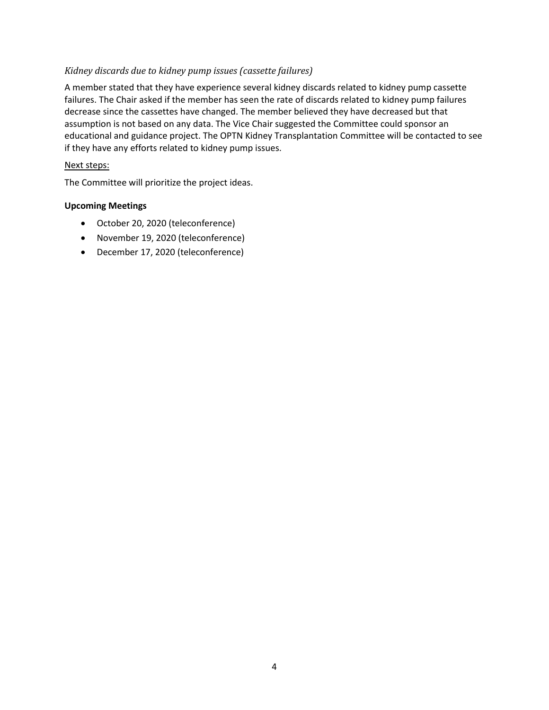## *Kidney discards due to kidney pump issues (cassette failures)*

A member stated that they have experience several kidney discards related to kidney pump cassette failures. The Chair asked if the member has seen the rate of discards related to kidney pump failures decrease since the cassettes have changed. The member believed they have decreased but that assumption is not based on any data. The Vice Chair suggested the Committee could sponsor an educational and guidance project. The OPTN Kidney Transplantation Committee will be contacted to see if they have any efforts related to kidney pump issues.

## Next steps:

The Committee will prioritize the project ideas.

## **Upcoming Meetings**

- October 20, 2020 (teleconference)
- November 19, 2020 (teleconference)
- December 17, 2020 (teleconference)